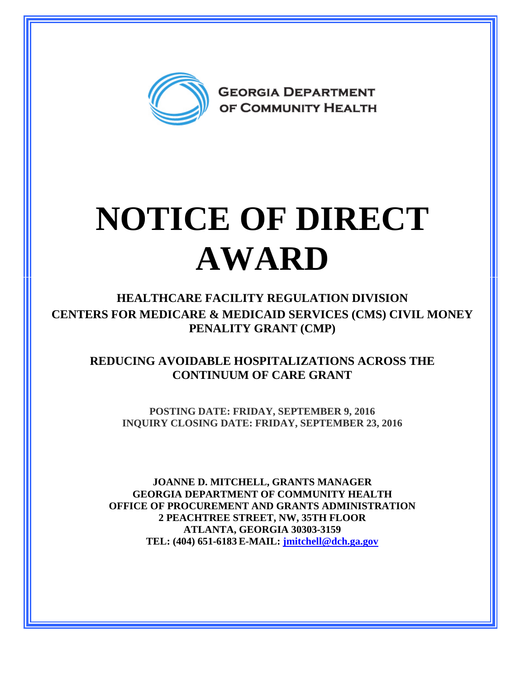

## **NOTICE OF DIRECT AWARD**

**HEALTHCARE FACILITY REGULATION DIVISION CENTERS FOR MEDICARE & MEDICAID SERVICES (CMS) CIVIL MONEY PENALITY GRANT (CMP)** 

**REDUCING AVOIDABLE HOSPITALIZATIONS ACROSS THE CONTINUUM OF CARE GRANT**

**POSTING DATE: FRIDAY, SEPTEMBER 9, 2016 INQUIRY CLOSING DATE: FRIDAY, SEPTEMBER 23, 2016** 

**JOANNE D. MITCHELL, GRANTS MANAGER GEORGIA DEPARTMENT OF COMMUNITY HEALTH OFFICE OF PROCUREMENT AND GRANTS ADMINISTRATION 2 PEACHTREE STREET, NW, 35TH FLOOR ATLANTA, GEORGIA 30303-3159 TEL: (404) 651-6183 E-MAIL: [jmitchell@dch.ga.gov](mailto:awatson@dch.ga.gov)**